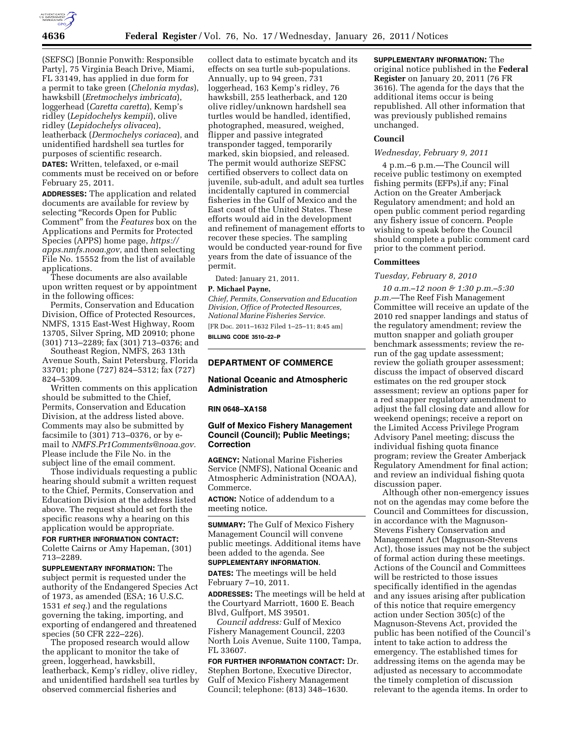

(SEFSC) [Bonnie Ponwith: Responsible Party], 75 Virginia Beach Drive, Miami, FL 33149, has applied in due form for a permit to take green (*Chelonia mydas*), hawksbill (*Eretmochelys imbricata*), loggerhead (*Caretta caretta*), Kemp's ridley (*Lepidochelys kempii*), olive ridley (*Lepidochelys olivacea*), leatherback (*Dermochelys coriacea*), and unidentified hardshell sea turtles for purposes of scientific research.

**DATES:** Written, telefaxed, or e-mail comments must be received on or before February 25, 2011.

**ADDRESSES:** The application and related documents are available for review by selecting "Records Open for Public Comment'' from the *Features* box on the Applications and Permits for Protected Species (APPS) home page, *[https://](https://apps.nmfs.noaa.gov)  [apps.nmfs.noaa.gov,](https://apps.nmfs.noaa.gov)* and then selecting File No. 15552 from the list of available applications.

These documents are also available upon written request or by appointment in the following offices:

Permits, Conservation and Education Division, Office of Protected Resources, NMFS, 1315 East-West Highway, Room 13705, Silver Spring, MD 20910; phone (301) 713–2289; fax (301) 713–0376; and

Southeast Region, NMFS, 263 13th Avenue South, Saint Petersburg, Florida 33701; phone (727) 824–5312; fax (727) 824–5309.

Written comments on this application should be submitted to the Chief, Permits, Conservation and Education Division, at the address listed above. Comments may also be submitted by facsimile to (301) 713–0376, or by email to *[NMFS.Pr1Comments@noaa.gov.](mailto:NMFS.Pr1Comments@noaa.gov)*  Please include the File No. in the subject line of the email comment.

Those individuals requesting a public hearing should submit a written request to the Chief, Permits, Conservation and Education Division at the address listed above. The request should set forth the specific reasons why a hearing on this application would be appropriate.

### **FOR FURTHER INFORMATION CONTACT:**

Colette Cairns or Amy Hapeman, (301) 713–2289.

**SUPPLEMENTARY INFORMATION:** The subject permit is requested under the authority of the Endangered Species Act of 1973, as amended (ESA; 16 U.S.C. 1531 *et seq.*) and the regulations governing the taking, importing, and exporting of endangered and threatened species (50 CFR 222–226).

The proposed research would allow the applicant to monitor the take of green, loggerhead, hawksbill, leatherback, Kemp's ridley, olive ridley, and unidentified hardshell sea turtles by observed commercial fisheries and

collect data to estimate bycatch and its effects on sea turtle sub-populations. Annually, up to 94 green, 731 loggerhead, 163 Kemp's ridley, 76 hawksbill, 255 leatherback, and 120 olive ridley/unknown hardshell sea turtles would be handled, identified, photographed, measured, weighed, flipper and passive integrated transponder tagged, temporarily marked, skin biopsied, and released. The permit would authorize SEFSC certified observers to collect data on juvenile, sub-adult, and adult sea turtles incidentally captured in commercial fisheries in the Gulf of Mexico and the East coast of the United States. These efforts would aid in the development and refinement of management efforts to recover these species. The sampling would be conducted year-round for five years from the date of issuance of the permit.

Dated: January 21, 2011.

### **P. Michael Payne,**

*Chief, Permits, Conservation and Education Division, Office of Protected Resources, National Marine Fisheries Service.*  [FR Doc. 2011–1632 Filed 1–25–11; 8:45 am]

**BILLING CODE 3510–22–P** 

# **DEPARTMENT OF COMMERCE**

# **National Oceanic and Atmospheric Administration**

#### **RIN 0648–XA158**

# **Gulf of Mexico Fishery Management Council (Council); Public Meetings; Correction**

**AGENCY:** National Marine Fisheries Service (NMFS), National Oceanic and Atmospheric Administration (NOAA), Commerce.

**ACTION:** Notice of addendum to a meeting notice.

**SUMMARY:** The Gulf of Mexico Fishery Management Council will convene public meetings. Additional items have been added to the agenda. See **SUPPLEMENTARY INFORMATION**.

**DATES:** The meetings will be held February 7–10, 2011.

**ADDRESSES:** The meetings will be held at the Courtyard Marriott, 1600 E. Beach Blvd, Gulfport, MS 39501.

*Council address:* Gulf of Mexico Fishery Management Council, 2203 North Lois Avenue, Suite 1100, Tampa, FL 33607.

# **FOR FURTHER INFORMATION CONTACT:** Dr.

Stephen Bortone, Executive Director, Gulf of Mexico Fishery Management Council; telephone: (813) 348–1630.

**SUPPLEMENTARY INFORMATION:** The original notice published in the **Federal Register** on January 20, 2011 (76 FR 3616). The agenda for the days that the additional items occur is being republished. All other information that was previously published remains unchanged.

# **Council**

### *Wednesday, February 9, 2011*

4 p.m.–6 p.m.—The Council will receive public testimony on exempted fishing permits (EFPs),if any; Final Action on the Greater Amberjack Regulatory amendment; and hold an open public comment period regarding any fishery issue of concern. People wishing to speak before the Council should complete a public comment card prior to the comment period.

# **Committees**

### *Tuesday, February 8, 2010*

*10 a.m.–12 noon & 1:30 p.m.–5:30 p.m.*—The Reef Fish Management Committee will receive an update of the 2010 red snapper landings and status of the regulatory amendment; review the mutton snapper and goliath grouper benchmark assessments; review the rerun of the gag update assessment; review the goliath grouper assessment; discuss the impact of observed discard estimates on the red grouper stock assessment; review an options paper for a red snapper regulatory amendment to adjust the fall closing date and allow for weekend openings; receive a report on the Limited Access Privilege Program Advisory Panel meeting; discuss the individual fishing quota finance program; review the Greater Amberjack Regulatory Amendment for final action; and review an individual fishing quota discussion paper.

Although other non-emergency issues not on the agendas may come before the Council and Committees for discussion, in accordance with the Magnuson-Stevens Fishery Conservation and Management Act (Magnuson-Stevens Act), those issues may not be the subject of formal action during these meetings. Actions of the Council and Committees will be restricted to those issues specifically identified in the agendas and any issues arising after publication of this notice that require emergency action under Section 305(c) of the Magnuson-Stevens Act, provided the public has been notified of the Council's intent to take action to address the emergency. The established times for addressing items on the agenda may be adjusted as necessary to accommodate the timely completion of discussion relevant to the agenda items. In order to